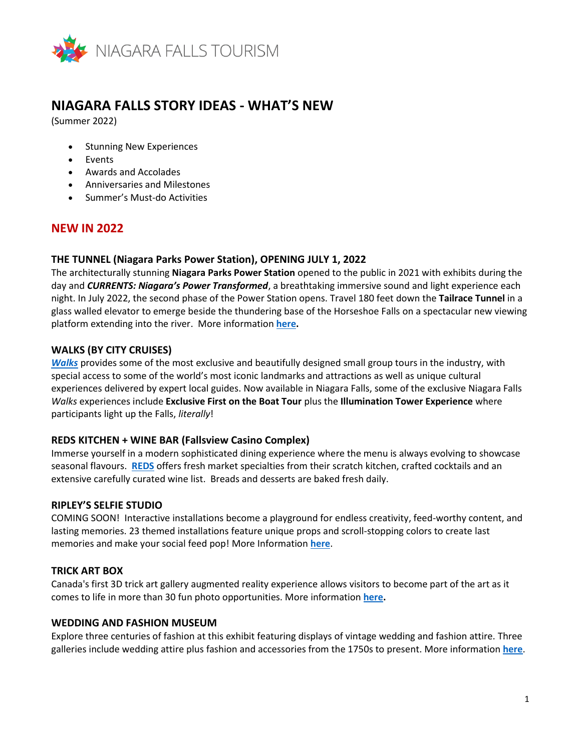

# **NIAGARA FALLS STORY IDEAS - WHAT'S NEW**

(Summer 2022)

- Stunning New Experiences
- Events
- Awards and Accolades
- Anniversaries and Milestones
- Summer's Must-do Activities

# **NEW IN 2022**

#### **THE TUNNEL (Niagara Parks Power Station), OPENING JULY 1, 2022**

The architecturally stunning **Niagara Parks Power Station** opened to the public in 2021 with exhibits during the day and *CURRENTS: Niagara's Power Transformed*, a breathtaking immersive sound and light experience each night. In July 2022, the second phase of the Power Station opens. Travel 180 feet down the **Tailrace Tunnel** in a glass walled elevator to emerge beside the thundering base of the Horseshoe Falls on a spectacular new viewing platform extending into the river. More information **[here.](https://www.niagarafallstourism.com/events/niagara-parks-grand-opening-the-tunnel-at-niagara-parks-power-station/)**

#### **WALKS (BY CITY CRUISES)**

*[Walks](https://www.niagarafallstourism.com/play/sightseeing-tours/walks/)* provides some of the most exclusive and beautifully designed small group tours in the industry, with special access to some of the world's most iconic landmarks and attractions as well as unique cultural experiences delivered by expert local guides. Now available in Niagara Falls, some of the exclusive Niagara Falls *Walks* experiences include **Exclusive First on the Boat Tour** plus the **Illumination Tower Experience** where participants light up the Falls, *literally*!

#### **REDS KITCHEN + WINE BAR (Fallsview Casino Complex)**

Immerse yourself in a modern sophisticated dining experience where the menu is always evolving to showcase seasonal flavours. **[REDS](https://www.niagarafallstourism.com/eat/casual-dining/reds/)** offers fresh market specialties from their scratch kitchen, crafted cocktails and an extensive carefully curated wine list. Breads and desserts are baked fresh daily.

#### **RIPLEY'S SELFIE STUDIO**

COMING SOON! Interactive installations become a playground for endless creativity, feed-worthy content, and lasting memories. 23 themed installations feature unique props and scroll-stopping colors to create last memories and make your social feed pop! More Information **[here](https://www.niagarafallstourism.com/play/attractions/ripleys-selfie-studio/)**.

#### **TRICK ART BOX**

Canada's first 3D trick art gallery augmented reality experience allows visitors to become part of the art as it comes to life in more than 30 fun photo opportunities. More information **[here.](https://www.niagarafallstourism.com/play/attractions/trick-art-box/)**

#### **WEDDING AND FASHION MUSEUM**

Explore three centuries of fashion at this exhibit featuring displays of vintage wedding and fashion attire. Three galleries include wedding attire plus fashion and accessories from the 1750s to present. More information **[here](https://www.niagarafallstourism.com/play/attractions/wedding-fashion-museum/)**.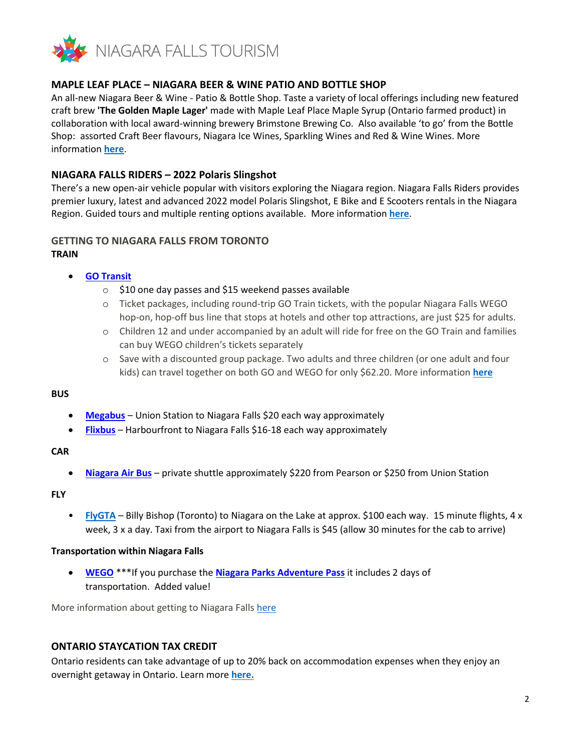

## **MAPLE LEAF PLACE – NIAGARA BEER & WINE PATIO AND BOTTLE SHOP**

An all-new Niagara Beer & Wine - Patio & Bottle Shop. Taste a variety of local offerings including new featured craft brew **'The Golden Maple Lager'** made with Maple Leaf Place Maple Syrup (Ontario farmed product) in collaboration with local award-winning brewery Brimstone Brewing Co. Also available 'to go' from the Bottle Shop: assorted Craft Beer flavours, Niagara Ice Wines, Sparkling Wines and Red & Wine Wines. More information **[here](https://www.niagarafallstourism.com/play/attractions/maple-leaf-place/)**.

## **NIAGARA FALLS RIDERS – 2022 Polaris Slingshot**

There's a new open-air vehicle popular with visitors exploring the Niagara region. Niagara Falls Riders provides premier luxury, latest and advanced 2022 model Polaris Slingshot, E Bike and E Scooters rentals in the Niagara Region. Guided tours and multiple renting options available. More information **[here](https://www.niagarafallstourism.com/play/attractions/niagara-falls-riders/)**.

# **GETTING TO NIAGARA FALLS FROM TORONTO**

#### **TRAIN**

## • **[GO Transit](https://www.gotransit.com/en/blog/weekend-passes)**

- o \$10 one day passes and \$15 weekend passes available
- o Ticket packages, including round-trip GO Train tickets, with the popular Niagara Falls WEGO hop-on, hop-off bus line that stops at hotels and other top attractions, are just \$25 for adults.
- o Children 12 and under accompanied by an adult will ride for free on the GO Train and families can buy WEGO children's tickets separately
- o Save with a discounted group package. Two adults and three children (or one adult and four kids) can travel together on both GO and WEGO for only \$62.20. More information **[here](http://www.niagaraparks.com/visit-niagara-parks/plan-your-visit/deals-toronto/)**

#### **BUS**

- **[Megabus](https://ca.megabus.com/route-guides/toronto-to-niagara-falls-bus?gclid=CjwKCAjwo8-SBhAlEiwAopc9W2Gdt7tds7Jd8Dn1GERJOwf47jHo_K5cCx7zwkCv8h_IFb0BMk3afxoC2AgQAvD_BwE)** Union Station to Niagara Falls \$20 each way approximately
- **[Flixbus](https://shop.flixbus.ca/search?departureCity=41d79c93-0374-47f3-8f3a-bd154f55153a&arrivalCity=3ac3c55a-9aac-44a4-bb0b-9a16be1e2e44&route=Toronto%2C+ON-Niagara+Falls%2C+ON&rideDate=15.05.2022&backRideDate=20.05.2022&adult=1&_locale=en_CA&backRide=1&features%5Bfeature.darken_page%5D=1&features%5Bfeature.enable_distribusion%5D=1&features%5Bfeature.train_cities_only%5D=0&features%5Bfeature.add_return_date%5D=0&features%5Bfeature.add_return_date_only%5D=0)** Harbourfront to Niagara Falls \$16-18 each way approximately

#### **CAR**

• **[Niagara Air Bus](https://www.niagaraairbus.com/)** – private shuttle approximately \$220 from Pearson or \$250 from Union Station

#### **FLY**

• **[FlyGTA](https://flygta.com/private-charters/?gclid=CjwKCAjw46CVBhB1EiwAgy6M4mZbKoJMePcb-AQK_9BquQAWH3D3dsqXn-tGwaJjcsDoSEiHNrOrAxoChPgQAvD_BwE)** – Billy Bishop (Toronto) to Niagara on the Lake at approx. \$100 each way. 15 minute flights, 4 x week, 3 x a day. Taxi from the airport to Niagara Falls is \$45 (allow 30 minutes for the cab to arrive)

#### **Transportation within Niagara Falls**

• **[WEGO](https://wegoniagarafalls.com/fares/)** \*\*\*If you purchase the **[Niagara Parks Adventure Pass](https://www.niagaraparks.com/visit-niagara-parks/plan-your-visit/deals-packages-seasonal-pre-sale)** it includes 2 days of transportation. Added value!

More information about getting to Niagara Falls [here](https://www.niagarafallstourism.com/plan/getting-here/)

#### **ONTARIO STAYCATION TAX CREDIT**

Ontario residents can take advantage of up to 20% back on accommodation expenses when they enjoy an overnight getaway in Ontario. Learn more **[here.](https://www.niagarafallstourism.com/blog/ontario-staycation-tax-credit/)**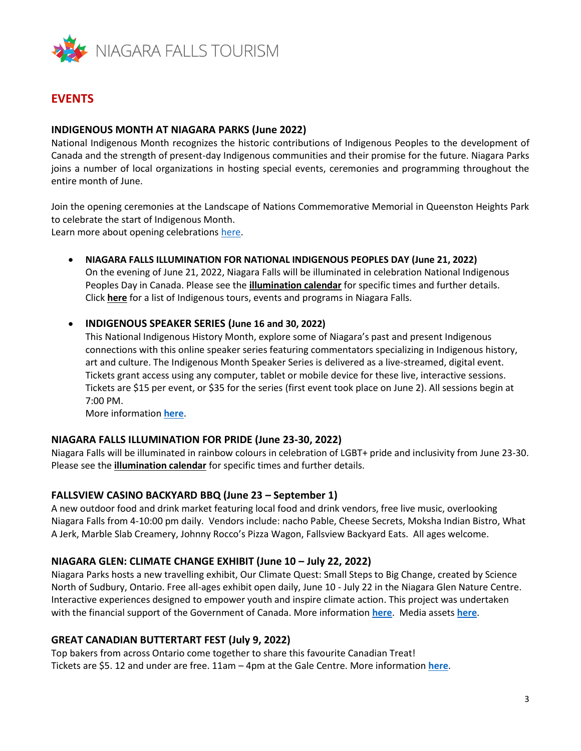

# **EVENTS**

## **INDIGENOUS MONTH AT NIAGARA PARKS (June 2022)**

National Indigenous Month recognizes the historic contributions of Indigenous Peoples to the development of Canada and the strength of present-day Indigenous communities and their promise for the future. Niagara Parks joins a number of local organizations in hosting special events, ceremonies and programming throughout the entire month of June.

Join the opening ceremonies at the Landscape of Nations Commemorative Memorial in Queenston Heights Park to celebrate the start of Indigenous Month.

Learn more about opening celebrations [here.](https://www.niagaraparks.com/things-to-do/landscape-of-nations-virtual-visit)

• **NIAGARA FALLS ILLUMINATION FOR NATIONAL INDIGENOUS PEOPLES DAY (June 21, 2022)** 

On the evening of June 21, 2022, Niagara Falls will be illuminated in celebration National Indigenous Peoples Day in Canada. Please see the **[illumination calendar](https://www.niagaraparks.com/events/event/falls-illumination)** for specific times and further details. Click **[here](https://www.niagarafallstourism.com/media-kit/story-ideas/indigenous-niagara-falls/)** for a list of Indigenous tours, events and programs in Niagara Falls.

#### • **INDIGENOUS SPEAKER SERIES (June 16 and 30, 2022)**

This National Indigenous History Month, explore some of Niagara's past and present Indigenous connections with this online speaker series featuring commentators specializing in Indigenous history, art and culture. The Indigenous Month Speaker Series is delivered as a live-streamed, digital event. Tickets grant access using any computer, tablet or mobile device for these live, interactive sessions. Tickets are \$15 per event, or \$35 for the series (first event took place on June 2). All sessions begin at 7:00 PM.

More information **[here](https://www.niagarafallstourism.com/events/indigenous-history-speaker-series-2022/)**.

#### **NIAGARA FALLS ILLUMINATION FOR PRIDE (June 23-30, 2022)**

Niagara Falls will be illuminated in rainbow colours in celebration of LGBT+ pride and inclusivity from June 23-30. Please see the **[illumination calendar](https://www.niagaraparks.com/events/event/falls-illumination)** for specific times and further details.

#### **FALLSVIEW CASINO BACKYARD BBQ (June 23 – September 1)**

A new outdoor food and drink market featuring local food and drink vendors, free live music, overlooking Niagara Falls from 4-10:00 pm daily. Vendors include: nacho Pable, Cheese Secrets, Moksha Indian Bistro, What A Jerk, Marble Slab Creamery, Johnny Rocco's Pizza Wagon, Fallsview Backyard Eats. All ages welcome.

#### **NIAGARA GLEN: CLIMATE CHANGE EXHIBIT (June 10 – July 22, 2022)**

Niagara Parks hosts a new travelling exhibit, Our Climate Quest: Small Steps to Big Change, created by Science North of Sudbury, Ontario. Free all-ages exhibit open daily, June 10 - July 22 in the Niagara Glen Nature Centre. Interactive experiences designed to empower youth and inspire climate action. This project was undertaken with the financial support of the Government of Canada. More information **[here](https://climate.sciencenorth.ca/)**. Media assets **[here](http://click.agilitypr.delivery/ls/click?upn=gwl1xlTUDC887yk79rCWy9MXkUZLSTwBIySzfqKYwcbhpTOp3WokBEPWqkaNsgQNmijxsqdHwjBSklRCxtZ-2FsnEQaiIutH5tFH2ceZFcQ7VfL3P-2FaGPqXqZC-2FAWd0HG20Beb_nNtMy31csTWg-2BnSOECcGWSy5dxb5rhLjz2avwC1o43vCBPtLXLs6grV-2BeNdISwaN2mM42N9BLLA13J4m-2F-2FwgI6o63cWmD3qj-2BMShG3dJ8Fdn15IrghyFIlxC-2Frd5fEr35ux-2FUinHFiLnTzwF1WDJzlfIN3XsIReEV8ghFYe7XlZoxOEXr6USpSYOlIBAQt-2BNvl7PfnSEOblodjT-2Bdu0fHl8Dr42H4eLAKdvstYvUvAeiv4FsbHUdeJNtNP8zqZIQMNaAwZlYlVhin8IoykZKtyAMNavCORtfRJEzLEwMDeZzoGE0XSb9h9k6kndfIYwPEzOU-2BX-2FdfJywAkLxlOHmPYghb1V3NdfGyPfXgI8dGOHdP9ZTXvueyixbwQ4SRBVu0oMupt9q1yORVj7Y8Ln7zvftGS6ppUsLe8KM-2B7oYPpsUYXo88TVNbZEj5s2LT0eFepYvqGYXIXy1qfShE4eP7jqROdH79QVFEVMjvLdFEUA-3D)**.

#### **GREAT CANADIAN BUTTERTART FEST (July 9, 2022)**

Top bakers from across Ontario come together to share this favourite Canadian Treat! Tickets are \$5. 12 and under are free. 11am – 4pm at the Gale Centre. More information **[here](https://www.niagarafallstourism.com/events/great-canadian-butter-tart-fest-niagara/)**.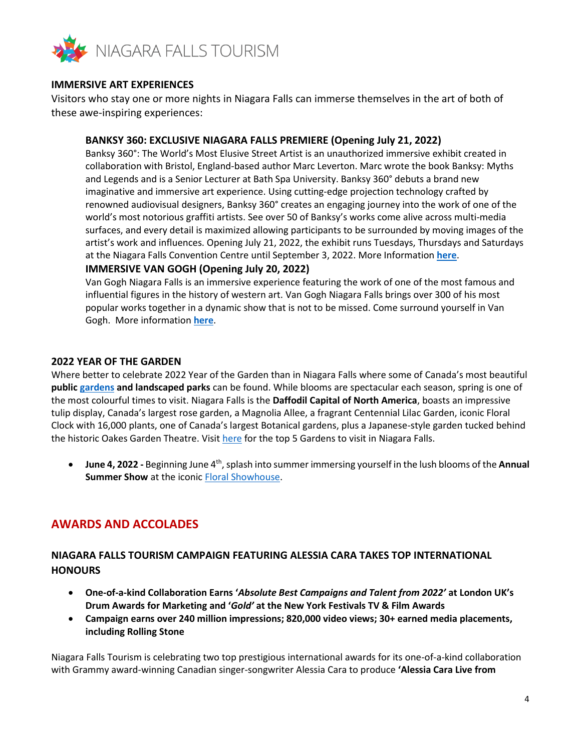

## **IMMERSIVE ART EXPERIENCES**

Visitors who stay one or more nights in Niagara Falls can immerse themselves in the art of both of these awe-inspiring experiences:

## **BANKSY 360: EXCLUSIVE NIAGARA FALLS PREMIERE (Opening July 21, 2022)**

Banksy 360°: The World's Most Elusive Street Artist is an unauthorized immersive exhibit created in collaboration with Bristol, England-based author Marc Leverton. Marc wrote the book Banksy: Myths and Legends and is a Senior Lecturer at Bath Spa University. Banksy 360° debuts a brand new imaginative and immersive art experience. Using cutting-edge projection technology crafted by renowned audiovisual designers, Banksy 360° creates an engaging journey into the work of one of the world's most notorious graffiti artists. See over 50 of Banksy's works come alive across multi-media surfaces, and every detail is maximized allowing participants to be surrounded by moving images of the artist's work and influences. Opening July 21, 2022, the exhibit runs Tuesdays, Thursdays and Saturdays at the Niagara Falls Convention Centre until September 3, 2022. More Information **[here](https://www.niagarafallstourism.com/events/banksy-360-niagara-falls/)**.

## **IMMERSIVE VAN GOGH (Opening July 20, 2022)**

Van Gogh Niagara Falls is an immersive experience featuring the work of one of the most famous and influential figures in the history of western art. Van Gogh Niagara Falls brings over 300 of his most popular works together in a dynamic show that is not to be missed. Come surround yourself in Van Gogh. More information **[here](https://www.niagarafallstourism.com/events/van-gogh-niagara-falls/)**.

#### **2022 YEAR OF THE GARDEN**

Where better to celebrate 2022 Year of the Garden than in Niagara Falls where some of Canada's most beautiful **public [gardens](https://www.niagarafallstourism.com/blog/top-five-gardens-to-visit-in-niagara-falls/) and landscaped parks** can be found. While blooms are spectacular each season, spring is one of the most colourful times to visit. Niagara Falls is the **Daffodil Capital of North America**, boasts an impressive tulip display, Canada's largest rose garden, a Magnolia Allee, a fragrant Centennial Lilac Garden, iconic Floral Clock with 16,000 plants, one of Canada's largest Botanical gardens, plus a Japanese-style garden tucked behind the historic Oakes Garden Theatre. Visit [here](https://www.niagarafallstourism.com/blog/top-five-gardens-to-visit-in-niagara-falls/) for the top 5 Gardens to visit in Niagara Falls.

• **June 4, 2022 -** Beginning June 4th, splash into summer immersing yourself in the lush blooms of the **Annual Summer Show** at the iconic [Floral Showhouse.](https://www.niagarafallstourism.com/play/outdoor-recreation/floral-showhouse/)

# **AWARDS AND ACCOLADES**

# **NIAGARA FALLS TOURISM CAMPAIGN FEATURING ALESSIA CARA TAKES TOP INTERNATIONAL HONOURS**

- **One-of-a-kind Collaboration Earns '***Absolute Best Campaigns and Talent from 2022'* **at London UK's Drum Awards for Marketing and '***Gold'* **at the New York Festivals TV & Film Awards**
- **Campaign earns over 240 million impressions; 820,000 video views; 30+ earned media placements, including Rolling Stone**

Niagara Falls Tourism is celebrating two top prestigious international awards for its one-of-a-kind collaboration with Grammy award-winning Canadian singer-songwriter Alessia Cara to produce **'Alessia Cara Live from**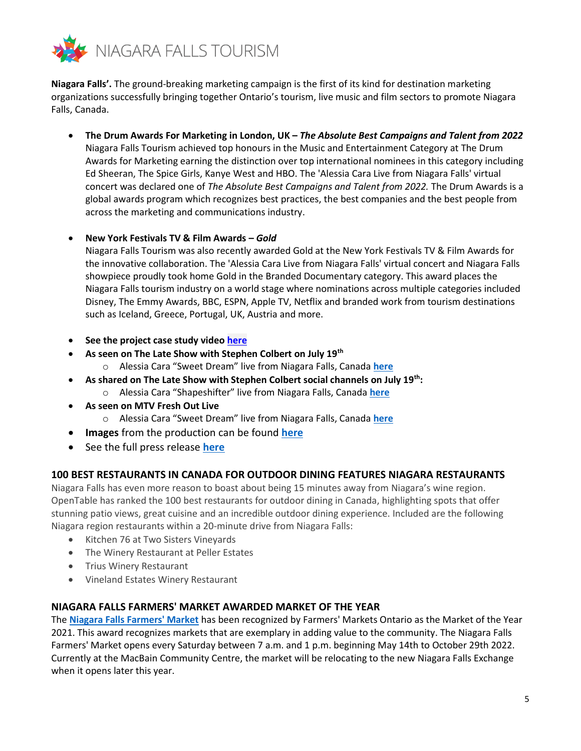

**Niagara Falls'.** The ground-breaking marketing campaign is the first of its kind for destination marketing organizations successfully bringing together Ontario's tourism, live music and film sectors to promote Niagara Falls, Canada.

• **The Drum Awards For Marketing in London, UK –** *The Absolute Best Campaigns and Talent from 2022* Niagara Falls Tourism achieved top honours in the Music and Entertainment Category at The Drum Awards for Marketing earning the distinction over top international nominees in this category including Ed Sheeran, The Spice Girls, Kanye West and HBO. The 'Alessia Cara Live from Niagara Falls' virtual concert was declared one of *The Absolute Best Campaigns and Talent from 2022.* The Drum Awards is a global awards program which recognizes best practices, the best companies and the best people from across the marketing and communications industry.

#### • **New York Festivals TV & Film Awards –** *Gold*

Niagara Falls Tourism was also recently awarded Gold at the New York Festivals TV & Film Awards for the innovative collaboration. The 'Alessia Cara Live from Niagara Falls' virtual concert and Niagara Falls showpiece proudly took home Gold in the Branded Documentary category. This award places the Niagara Falls tourism industry on a world stage where nominations across multiple categories included Disney, The Emmy Awards, BBC, ESPN, Apple TV, Netflix and branded work from tourism destinations such as Iceland, Greece, Portugal, UK, Austria and more.

- **See the project case study video [here](https://niagarafallstourism-my.sharepoint.com/:v:/p/csuthons/EajfjfXr3xdGtDBGlwiJ1YEB5eGEPjjtG55dn5zcC0Y3EA?e=rTQnMm)**
- **As seen on The Late Show with Stephen Colbert on July 19th**
	- o Alessia Cara "Sweet Dream" live from Niagara Falls, Canada **[here](https://youtu.be/Az7fXOhneio)**
- **As shared on The Late Show with Stephen Colbert social channels on July 19th:** 
	- o Alessia Cara "Shapeshifter" live from Niagara Falls, Canada **[here](https://youtu.be/dfPKSBLZDQM)**
- **As seen on MTV Fresh Out Live**
	- o Alessia Cara "Sweet Dream" live from Niagara Falls, Canada **[here](file:///C:/Users/Chantal%20Suthons/AppData/Local/Microsoft/Windows/INetCache/Content.Outlook/QVJ44C7M/o%09https:/youtu.be/Y2dwtFVR4Oc)**
- **Images** from the production can be found **[here](https://can01.safelinks.protection.outlook.com/?url=http%3A%2F%2Flink.mediaoutreach.meltwater.com%2Fls%2Fclick%3Fupn%3Dx-2BswMZAP5qZXWg3NI1m88WlvgOzrQo6Q3-2FvBnMr-2BkcBmaDGjkHaJC5yuVvLQAk4LjbWGXZZ-2Fc1wszhVVY1lM2aRkI72wV-2F7LS63zJfPxkqhH-2Fu4cqKkQxTwUxeWVhGm4ot2-2BhqwjU53ZCShfGf6KP07c-2BTR-2BPW7CRDsqXCsVj-2Bw-3DRxjo_lUVMtjJYZeeA5pwCTSeCidxM4s7xTnj9Mlr2jb3sMME0dJwcD7v4LWGpniRvPEREs8rfLHTrZUdVGwGX9bvoO6ebyp4e65QUMLHa1sZeMFjfFcKsEWXaguTQr-2FhCglTuLEFH8bYv2lBs4QjEAFrK4Ks-2BSEigIki1GhjuTT6X29-2BPxYtAD4E1FW0CbQn5eQbQ2THEQcGlF0FnyOfXGdlfBKiHf768EpCB9-2Fkq70DaQw0ltWJPL-2FUMcGzeBpyuEgOVs8Dl4lQGPVhLZ3IlAadsqYfgdvKKvRwokA3yIHxAGa-2F6pNe-2Fp8ckGnePejvIqkrJh1ie8KnTI3rPDhtFogT-2Fjw7ripb5blmyX2o23aofgE45i2FDLoLMyHn3NtvavCT9D7d-2FZAmYGARyHJu7Czs-2FFw-3D-3D&data=04%7C01%7Cfil.martino%40rci.rogers.com%7C5c24ddb0f8224274d2ba08d96c013e78%7C0ab4cbbf4bc74826b52ca14fed5286b9%7C0%7C0%7C637659574971646597%7CUnknown%7CTWFpbGZsb3d8eyJWIjoiMC4wLjAwMDAiLCJQIjoiV2luMzIiLCJBTiI6Ik1haWwiLCJXVCI6Mn0%3D%7C1000&sdata=Zs4h8RLArtCcQOQuZQzX%2BHxv8V1wp26mUUpXGzHDXF4%3D&reserved=0)**
- See the full press release **[here](https://www.niagarafallstourism.com/site/assets/files/79373/pr_-_nft_marketing_campaign_accolades_grow_-_final.pdf)**

# **100 BEST RESTAURANTS IN CANADA FOR OUTDOOR DINING FEATURES NIAGARA RESTAURANTS**

Niagara Falls has even more reason to boast about being 15 minutes away from Niagara's wine region. OpenTable has ranked the 100 best restaurants for outdoor dining in Canada, highlighting spots that offer stunning patio views, great cuisine and an incredible outdoor dining experience. Included are the following Niagara region restaurants within a 20-minute drive from Niagara Falls:

- Kitchen 76 at Two Sisters Vineyards
- The Winery Restaurant at Peller Estates
- Trius Winery Restaurant
- Vineland Estates Winery Restaurant

# **NIAGARA FALLS FARMERS' MARKET AWARDED MARKET OF THE YEAR**

The **[Niagara Falls Farmers' Market](http://www.niagarafalls.ca/living/market)** has been recognized by Farmers' Markets Ontario as the Market of the Year 2021. This award recognizes markets that are exemplary in adding value to the community. The Niagara Falls Farmers' Market opens every Saturday between 7 a.m. and 1 p.m. beginning May 14th to October 29th 2022. Currently at the MacBain Community Centre, the market will be relocating to the new Niagara Falls Exchange when it opens later this year.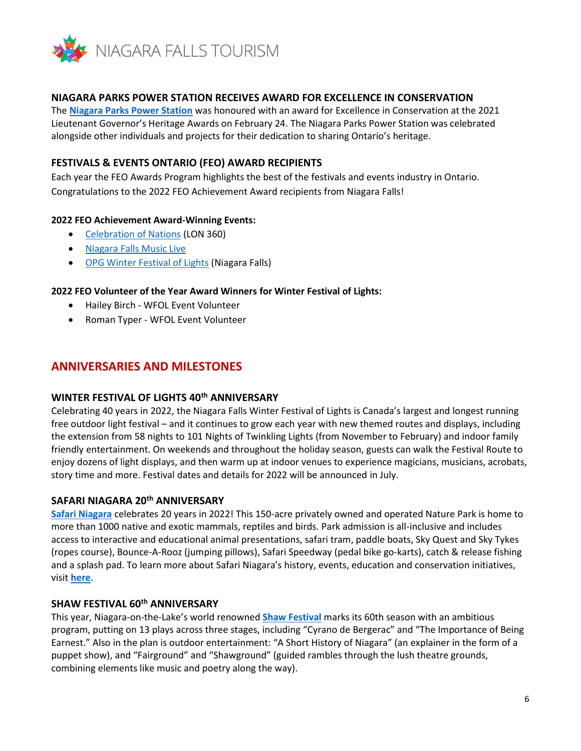

## **NIAGARA PARKS POWER STATION RECEIVES AWARD FOR EXCELLENCE IN CONSERVATION**

The **[Niagara Parks Power Station](https://www.niagarafallstourism.com/play/attractions/niagara-parks-power-station/)** was honoured with an award for Excellence in Conservation at the 2021 Lieutenant Governor's Heritage Awards on February 24. The Niagara Parks Power Station was celebrated alongside other individuals and projects for their dedication to sharing Ontario's heritage.

## **FESTIVALS & EVENTS ONTARIO (FEO) AWARD RECIPIENTS**

Each year the FEO Awards Program highlights the best of the festivals and events industry in Ontario. Congratulations to the 2022 FEO Achievement Award recipients from Niagara Falls!

#### **2022 FEO Achievement Award-Winning Events:**

- [Celebration of Nations](https://www.celebrationofnations.ca/) (LON 360)
- [Niagara Falls Music Live](https://www.niagarafallstourism.com/musiclive/)
- [OPG Winter Festival of Lights](https://wfol.com/) (Niagara Falls)

# **2022 FEO Volunteer of the Year Award Winners for Winter Festival of Lights:**

- Hailey Birch WFOL Event Volunteer
- Roman Typer WFOL Event Volunteer

# **ANNIVERSARIES AND MILESTONES**

# **WINTER FESTIVAL OF LIGHTS 40th ANNIVERSARY**

Celebrating 40 years in 2022, the Niagara Falls Winter Festival of Lights is Canada's largest and longest running free outdoor light festival – and it continues to grow each year with new themed routes and displays, including the extension from 58 nights to 101 Nights of Twinkling Lights (from November to February) and indoor family friendly entertainment. On weekends and throughout the holiday season, guests can walk the Festival Route to enjoy dozens of light displays, and then warm up at indoor venues to experience magicians, musicians, acrobats, story time and more. Festival dates and details for 2022 will be announced in July.

## **SAFARI NIAGARA 20th ANNIVERSARY**

**[Safari Niagara](https://www.niagarafallstourism.com/play/themeparks/safari-niagara/)** celebrates 20 years in 2022! This 150-acre privately owned and operated Nature Park is home to more than 1000 native and exotic mammals, reptiles and birds. Park admission is all-inclusive and includes access to interactive and educational animal presentations, safari tram, paddle boats, Sky Quest and Sky Tykes (ropes course), Bounce-A-Rooz (jumping pillows), Safari Speedway (pedal bike go-karts), catch & release fishing and a splash pad. To learn more about Safari Niagara's history, events, education and conservation initiatives, visit **[here](https://safariniagara.com/)**.

#### **SHAW FESTIVAL 60th ANNIVERSARY**

This year, Niagara-on-the-Lake's world renowned **[Shaw Festival](https://www.niagarafallstourism.com/play/theatre-shows/shaw-festival/)** marks its 60th season with an ambitious program, putting on 13 plays across three stages, including "Cyrano de Bergerac" and "The Importance of Being Earnest." Also in the plan is outdoor entertainment: "A Short History of Niagara" (an explainer in the form of a puppet show), and "Fairground" and "Shawground" (guided rambles through the lush theatre grounds, combining elements like music and poetry along the way).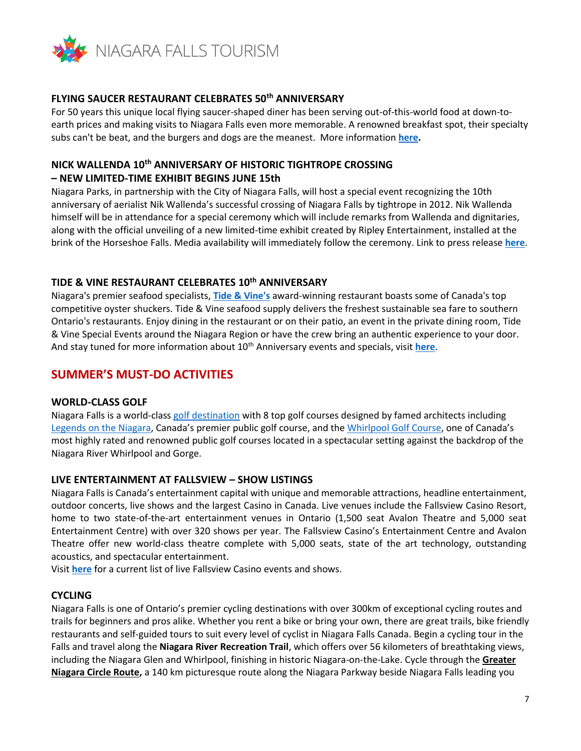

## **FLYING SAUCER RESTAURANT CELEBRATES 50th ANNIVERSARY**

For 50 years this unique local flying saucer-shaped diner has been serving out-of-this-world food at down-toearth prices and making visits to Niagara Falls even more memorable. A renowned breakfast spot, their specialty subs can't be beat, and the burgers and dogs are the meanest. More information **[here.](https://www.niagarafallstourism.com/eat/breakfast-coffee-shops/flying-saucer-restaurant/)** 

# **NICK WALLENDA 10th ANNIVERSARY OF HISTORIC TIGHTROPE CROSSING**

## **– NEW LIMITED-TIME EXHIBIT BEGINS JUNE 15th**

Niagara Parks, in partnership with the City of Niagara Falls, will host a special event recognizing the 10th anniversary of aerialist Nik Wallenda's successful crossing of Niagara Falls by tightrope in 2012. Nik Wallenda himself will be in attendance for a special ceremony which will include remarks from Wallenda and dignitaries, along with the official unveiling of a new limited-time exhibit created by Ripley Entertainment, installed at the brink of the Horseshoe Falls. Media availability will immediately follow the ceremony. Link to press release **[here](https://docs.google.com/document/d/1qNeuFwsUhtkZhB7yEa5alDE5wsasJPd7/edit?usp=sharing&ouid=105780004413794945731&rtpof=true&sd=true)**.

# **TIDE & VINE RESTAURANT CELEBRATES 10th ANNIVERSARY**

Niagara's premier seafood specialists, **[Tide & Vine's](https://www.niagarafallstourism.com/eat/casual-dining/tide-vine/)** award-winning restaurant boasts some of Canada's top competitive oyster shuckers. Tide & Vine seafood supply delivers the freshest sustainable sea fare to southern Ontario's restaurants. Enjoy dining in the restaurant or on their patio, an event in the private dining room, Tide & Vine Special Events around the Niagara Region or have the crew bring an authentic experience to your door. And stay tuned for more information about 10<sup>th</sup> Anniversary events and specials, visit [here](https://www.niagarafallstourism.com/eat/casual-dining/tide-vine/).

# **SUMMER'S MUST-DO ACTIVITIES**

#### **WORLD-CLASS GOLF**

Niagara Falls is a world-class [golf destination](https://www.niagarafallstourism.com/play/golf/) with 8 top golf courses designed by famed architects including [Legends on the Niagara](https://www.niagarafallstourism.com/play/golf/legends-on-the-niagara-golf-complex/), Canada's premier public golf course, and the [Whirlpool Golf Course](https://www.niagarafallstourism.com/play/golf/whirlpool-golf-course/), one of Canada's most highly rated and renowned public golf courses located in a spectacular setting against the backdrop of the Niagara River Whirlpool and Gorge.

# **LIVE ENTERTAINMENT AT FALLSVIEW – SHOW LISTINGS**

Niagara Falls is Canada's entertainment capital with unique and memorable attractions, headline entertainment, outdoor concerts, live shows and the largest Casino in Canada. Live venues include the Fallsview Casino Resort, home to two state-of-the-art entertainment venues in Ontario (1,500 seat Avalon Theatre and 5,000 seat Entertainment Centre) with over 320 shows per year. The Fallsview Casino's Entertainment Centre and Avalon Theatre offer new world-class theatre complete with 5,000 seats, state of the art technology, outstanding acoustics, and spectacular entertainment.

Visit **[here](https://fallsviewcasinoresort.com/poi/venues/entertainment-centre.html)** for a current list of live Fallsview Casino events and shows.

#### **CYCLING**

Niagara Falls is one of Ontario's premier cycling destinations with over 300km of exceptional cycling routes and trails for beginners and pros alike. Whether you rent a bike or bring your own, there are great trails, bike friendly restaurants and self-guided tours to suit every level of cyclist in Niagara Falls Canada. Begin a cycling tour in the Falls and travel along the **Niagara River Recreation Trail**, which offers over 56 kilometers of breathtaking views, including the Niagara Glen and Whirlpool, finishing in historic Niagara-on-the-Lake. Cycle through the **[Greater](https://www.niagarafallstourism.com/cycling/#greater-niagara-circle-route)  [Niagara Circle Route,](https://www.niagarafallstourism.com/cycling/#greater-niagara-circle-route)** a 140 km picturesque route along the Niagara Parkway beside Niagara Falls leading you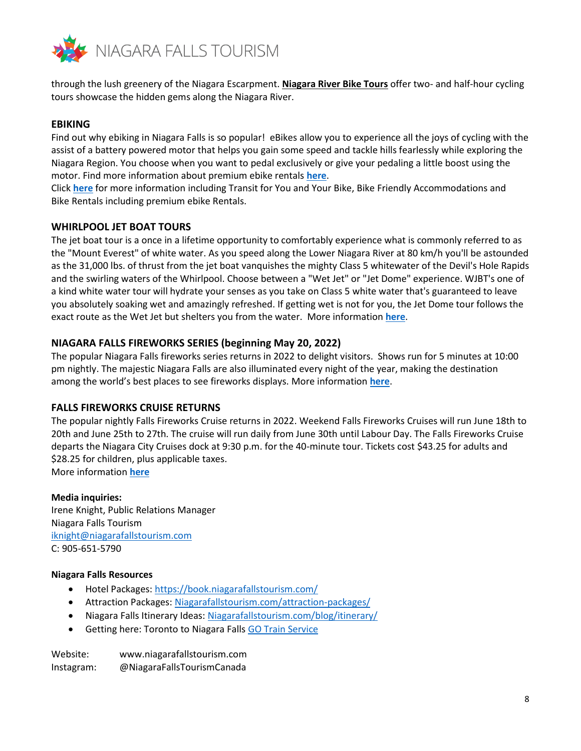

through the lush greenery of the Niagara Escarpment. **[Niagara River Bike Tours](https://www.niagarafallstourism.com/play/sightseeing-tours/niagara-river-bike-tours/)** offer two- and half-hour cycling tours showcase the hidden gems along the Niagara River.

## **EBIKING**

Find out why ebiking in Niagara Falls is so popular! eBikes allow you to experience all the joys of cycling with the assist of a battery powered motor that helps you gain some speed and tackle hills fearlessly while exploring the Niagara Region. You choose when you want to pedal exclusively or give your pedaling a little boost using the motor. Find more information about premium ebike rentals **[here](https://www.niagarafallstourism.com/cycling/)**.

Click **[here](https://www.niagarafallstourism.com/cycling/)** for more information including Transit for You and Your Bike, Bike Friendly Accommodations and Bike Rentals including premium ebike Rentals.

#### **WHIRLPOOL JET BOAT TOURS**

The jet boat tour is a once in a lifetime opportunity to comfortably experience what is commonly referred to as the "Mount Everest" of white water. As you speed along the Lower Niagara River at 80 km/h you'll be astounded as the 31,000 lbs. of thrust from the jet boat vanquishes the mighty Class 5 whitewater of the Devil's Hole Rapids and the swirling waters of the Whirlpool. Choose between a "Wet Jet" or "Jet Dome" experience. WJBT's one of a kind white water tour will hydrate your senses as you take on Class 5 white water that's guaranteed to leave you absolutely soaking wet and amazingly refreshed. If getting wet is not for you, the Jet Dome tour follows the exact route as the Wet Jet but shelters you from the water. More information **[here](https://www.niagarafallstourism.com/play/outdoor-recreation/whirlpool-jet-boats/)**.

#### **NIAGARA FALLS FIREWORKS SERIES (beginning May 20, 2022)**

The popular Niagara Falls fireworks series returns in 2022 to delight visitors. Shows run for 5 minutes at 10:00 pm nightly. The majestic Niagara Falls are also illuminated every night of the year, making the destination among the world's best places to see fireworks displays. More information **[here](https://www.niagarafallstourism.com/fireworks/)**.

#### **FALLS FIREWORKS CRUISE RETURNS**

The popular nightly Falls Fireworks Cruise returns in 2022. Weekend Falls Fireworks Cruises will run June 18th to 20th and June 25th to 27th. The cruise will run daily from June 30th until Labour Day. The Falls Fireworks Cruise departs the Niagara City Cruises dock at 9:30 p.m. for the 40-minute tour. Tickets cost \$43.25 for adults and \$28.25 for children, plus applicable taxes.

More information **[here](https://www.cityexperiences.com/niagara-ca/city-cruises/niagara/)**

#### **Media inquiries:**

Irene Knight, Public Relations Manager Niagara Falls Tourism [iknight@niagarafallstourism.com](mailto:iknight@niagarafallstourism.com) C: 905-651-5790

#### **Niagara Falls Resources**

- Hotel Packages:<https://book.niagarafallstourism.com/>
- Attraction Packages: [Niagarafallstourism.com/attraction-packages/](https://www.niagarafallstourism.com/attraction-packages)
- Niagara Falls Itinerary Ideas: [Niagarafallstourism.com/blog/itinerary/](https://www.niagarafallstourism.com/blog/itinerary)
- Getting here: Toronto to Niagara Falls [GO Train Service](https://www.gotransit.com/en/travelling-with-us/promotions-and-events/niagara)

| Website:   | www.niagarafallstourism.com |
|------------|-----------------------------|
| Instagram: | @NiagaraFallsTourismCanada  |